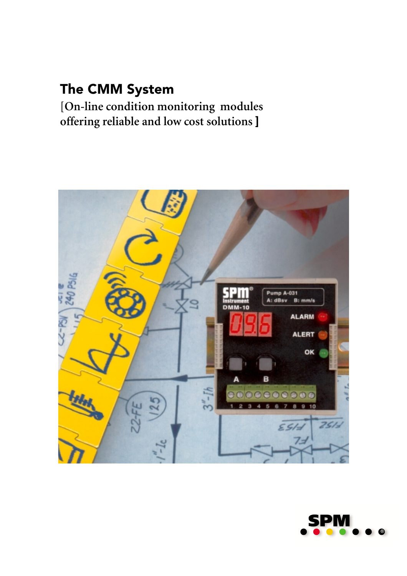## The CMM System

**[On-line condition monitoring modules offering reliable and low cost solutions** ]



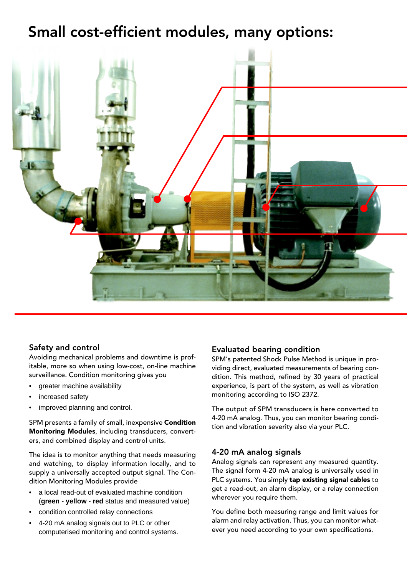## Small cost-efficient modules, many options:



## Safety and control

Avoiding mechanical problems and downtime is profitable, more so when using low-cost, on-line machine surveillance. Condition monitoring gives you

- greater machine availability
- increased safety
- improved planning and control.

SPM presents a family of small, inexpensive Condition Monitoring Modules, including transducers, converters, and combined display and control units.

The idea is to monitor anything that needs measuring and watching, to display information locally, and to supply a universally accepted output signal. The Condition Monitoring Modules provide

- a local read-out of evaluated machine condition (**green - yellow - red** status and measured value)
- condition controlled relay connections
- 4-20 mA analog signals out to PLC or other computerised monitoring and control systems.

#### Evaluated bearing condition

SPM's patented Shock Pulse Method is unique in providing direct, evaluated measurements of bearing condition. This method, refined by 30 years of practical experience, is part of the system, as well as vibration monitoring according to ISO 2372.

The output of SPM transducers is here converted to 4-20 mA analog. Thus, you can monitor bearing condition and vibration severity also via your PLC.

#### 4-20 mA analog signals

Analog signals can represent any measured quantity. The signal form 4-20 mA analog is universally used in PLC systems. You simply tap existing signal cables to get a read-out, an alarm display, or a relay connection wherever you require them.

You define both measuring range and limit values for alarm and relay activation. Thus, you can monitor whatever you need according to your own specifications.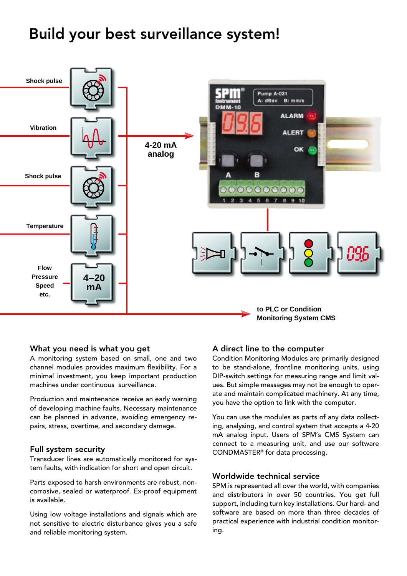# Build your best surveillance system!



#### What you need is what you get

A monitoring system based on small, one and two channel modules provides maximum flexibility. For a minimal investment, you keep important production machines under continuous surveillance.

Production and maintenance receive an early warning of developing machine faults. Necessary maintenance can be planned in advance, avoiding emergency repairs, stress, overtime, and secondary damage.

#### Full system security

Transducer lines are automatically monitored for system faults, with indication for short and open circuit.

Parts exposed to harsh environments are robust, noncorrosive, sealed or waterproof. Ex-proof equipment is available.

Using low voltage installations and signals which are not sensitive to electric disturbance gives you a safe and reliable monitoring system.

#### A direct line to the computer

Condition Monitoring Modules are primarily designed to be stand-alone, frontline monitoring units, using DIP-switch settings for measuring range and limit values. But simple messages may not be enough to operate and maintain complicated machinery. At any time, you have the option to link with the computer.

You can use the modules as parts of any data collecting, analysing, and control system that accepts a 4-20 mA analog input. Users of SPM's CMS System can connect to a measuring unit, and use our software CONDMASTER® for data processing.

#### Worldwide technical service

SPM is represented all over the world, with companies and distributors in over 50 countries. You get full support, including turn key installations. Our hard- and software are based on more than three decades of practical experience with industrial condition monitoring.